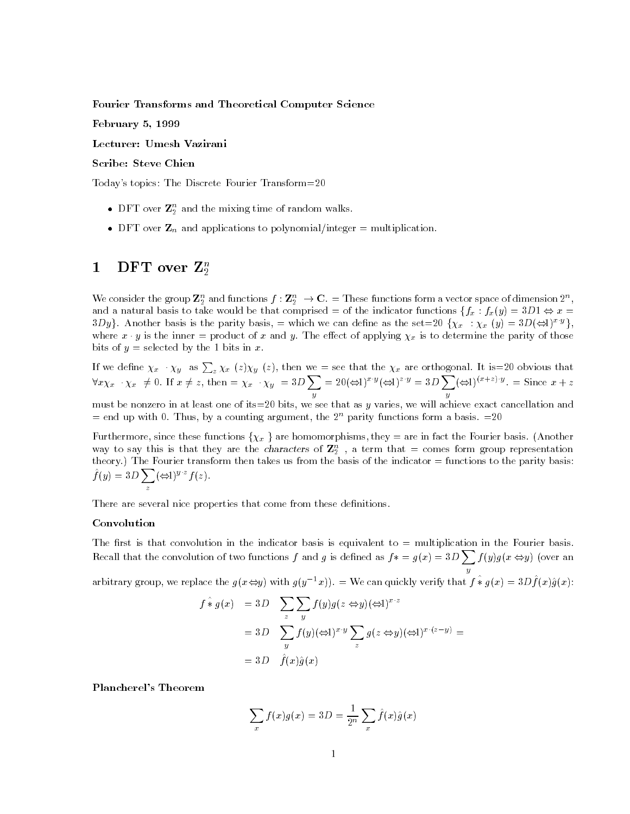Fourier Transforms and Theoretical Computer Science

February 5, 1999

Lecturer: Umesh Vazirani

## Scribe: Steve Chien

Today's topics: The Discrete Fourier Transform=20

- $\bullet\,$  DFT over  $\mathbf{Z}_2^{\circ}$  and the mixing time of random walks.
- $\bullet$  DFT over  $\mathbf{Z}_n$  and applications to polynomial/integer  $=$  multiplication.

# 1 DFT over  $\mathbf{Z}_2^n$

We consider the group  $\mathbf Z_2^n$  and functions  $f:\mathbf Z_2^n\to\mathbf C_1=\mathbf T$ hese functions form a vector space of dimension  $2^n,\mathbb T$ and a natural basis to take would be that comprised = of the indicator functions  $\{f_x : f_x(y) = 3D1 \Leftrightarrow x = 1\}$ 3Dy. Another basis is the parity basis, = which we can define as the set=20  $\{\chi_x : \chi_x (y) = 3D(\Leftrightarrow 1)^{x \cdot y}\},$ where x y is the inner = product of x and y. The effect of applying  $\chi_x$  is to determine the parity of those bits of  $y =$  selected by the 1 bits in x.

If we define  $\chi_x$   $\chi_y$  as  $\sum_z \chi_x (z) \chi_y (z)$ , then we = see that the  $\chi_x$  are orthogonal. It is=20 obvious that<br> $\forall x \chi_x \cdot \chi_x \neq 0$ . If  $x \neq z$ , then =  $\chi_x \cdot \chi_y = 3D \sum_{z=0}^{\infty} z(z)$   $(\Leftrightarrow 1)^{x \cdot y}$  = 3D  $\sum_{z=0}^{\infty} (\L$ y and the second contract of the second contract of the second contract of the second contract of the second contract of the second contract of the second contract of the second contract of the second contract of the secon  $= 20 (\Leftrightarrow 1)^{x+y} (\Leftrightarrow 1)^{z+y} = 3D \sum (\Leftrightarrow 1)^{(x+z+y)}$ y and the second contract of the second contract of the second contract of the second contract of the second contract of the second contract of the second contract of the second contract of the second contract of the secon  $(\Leftrightarrow$ l $)$ <sup>'\* $\top$ \*'' = Since  $x + z$ </sup>

must be nonzero in at least one of its=20 bits, we see that as  $y$  varies, we will achieve exact cancellation and  $=$  end up with 0. Thus, by a counting argument, the  $2<sup>n</sup>$  parity functions form a basis.  $=20$ 

Furthermore, since these functions  $\{\chi_x\}$  are homomorphisms, they = are in fact the Fourier basis. (Another way to say this is that they are the *characters* of  $\mathbb{Z}_2^{\times}$ , a term that  $\equiv$  comes form group representation theory.) The Fourier transform then takes us from the basis of the indicator = functions to the parity basis:  $\hat{f}(y)=3D\sum (\Leftrightarrow 1)^{y\cdot z}f(z).$ 

There are several nice properties that come from these definitions.

#### Convolution

The first is that convolution in the indicator basis is equivalent to  $=$  multiplication in the Fourier basis. Recall that the convolution of two functions f and g is defined as  $f* = g(x) = 3D\sum f(y)g(x \Leftrightarrow y)$  (over an yy and the state of the state of the

arbitrary group, we replace the  $q(x \Leftrightarrow y)$  with  $q(y^{-1}x))$ .  $=$  We can quickly verify that  $f * q(x) = 3D f(x)q(x)$ :

$$
f * g(x) = 3D \sum_{z} \sum_{y} f(y)g(z \Leftrightarrow y) (\Leftrightarrow 1)^{x \cdot z}
$$
  
= 3D 
$$
\sum_{y} f(y) (\Leftrightarrow 1)^{x \cdot y} \sum_{z} g(z \Leftrightarrow y) (\Leftrightarrow 1)^{x \cdot (z - y)} =
$$
  
= 3D  $\hat{f}(x)\hat{g}(x)$ 

Plancherel's Theorem

$$
\sum_{x} f(x)g(x) = 3D = \frac{1}{2^n} \sum_{x} \hat{f}(x)\hat{g}(x)
$$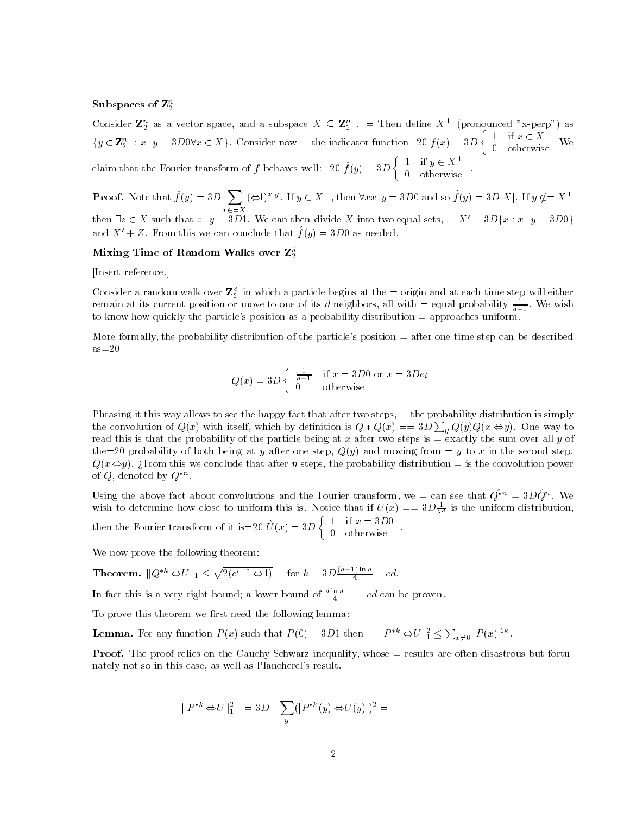#### Subspaces of  $\mathbf{Z}_2^n$

Consider  ${\bf Z}_2^n$  as a vector space, and a subspace  $X\subseteq {\bf Z}_2^n$  .  $=$  Then define  $X^\perp$  (pronounced "x-perp") as  ${y \in \mathbf{Z}_2^n : x \cdot y = 3D0\forall x \in X}$ . Consider now = the indicator function=20  $f(x) = 3D\begin{cases} 1 & \text{if } x \in X \\ 0 & \text{otherwise} \end{cases}$  We 0 otherwise We claim that the Fourier transform of f behaves well: $\sim$ 20  $f$  (y)  $\sim$  3D  $\gamma$   $_{\circ}$  $\begin{bmatrix} 1 & \text{if } y \in X^{\perp} \end{bmatrix}$ 0 otherwise .

**Proof.** Note that  $\hat{f} (y)=3D$   $\sum (\Leftrightarrow t)^{x\cdot y}$ . If  $y\in X^\perp$  , then  $\forall xx\cdot y=3D0$  and so  $\hat{f} (y)=3D|X|$ . If  $y\notin =X^\perp$ then  $\exists z \in X$  such that  $z \cdot y = 3D1$ . We can then divide X into two equal sets,  $= X' = 3D\{x : x \cdot y = 3D0\}$ and  $\Lambda$  +  $Z$ . From this we can conclude that  $f(y)=3D0$  as needed.

## Mixing Time of Random Walks over  $\mathbf{Z}_2^d$

[Insert reference.]

Consider a random walk over  $\mathbf{z}_2^{\circ}$  in which a particle begins at the  $=$  origin and at each time step will either remain at its current position or move to one of its *a* neignbors, all with  $=$  equal probability  $\frac{1}{d+1}$ . We wish to know how quickly the particle's position as a probability distribution = approaches uniform.

More formally, the probability distribution of the particle's position = after one time step can be described  $as = 20$ 

$$
Q(x) = 3D \begin{cases} \frac{1}{d+1} & \text{if } x = 3D0 \text{ or } x = 3De_i \\ 0 & \text{otherwise} \end{cases}
$$

Phrasing it this way allows to see the happy fact that after two steps,  $=$  the probability distribution is simply the convolution of  $Q(x)$  with itself, which by definition is  $Q * Q(x) == 3D \sum_{y} Q(y) Q(x \Leftrightarrow y)$ . One way to read this is that the probability of the particle being at x after two steps is  $=$  exactly the sum over all y of the=20 probability of both being at y after one step,  $Q(y)$  and moving from = y to x in the second step,  $Q(x \Leftrightarrow y)$ . Express the conclude that after n steps, the probability distribution = is the convolution power of  $Q$ , denoted by  $Q$  .

Using the above fact about convolutions and the Fourier transform, we  $\equiv$  can see that  $Q^{nn} \equiv 3DQ^{nn}$ . We wish to determine how close to uniform this is. Notice that if  $U(x) == 3D \frac{1}{2^d}$  is the uniform distribution,  $\left\{\n\begin{array}{ll}\n1 & \text{if } x = 3D0 \\
0 & \text{otherwise}\n\end{array}\n\right.$ 

then the Fourier transform of it is  $20 U(x) = 3D$ 

We now prove the following theorem:

**Theorem.** 
$$
||Q^{*k} \Leftrightarrow U||_1 \le \sqrt{2(e^{e^{-c}} \Leftrightarrow 1)} = \text{for } k = 3D \frac{(d+1)\ln d}{4} + cd.
$$

In fact this is a very tight bound; a lower bound of  $\frac{2\alpha+1}{4}$  = ca can be proven.

To prove this theorem we first need the following lemma:

**Lemma.** For any function  $P(x)$  such that  $P(0) = 3D1$  then  $= ||P^{*k} \Leftrightarrow U||_1^2 \leq \sum_{x \neq 0} |P(x)|^{2k}$ .

**Proof.** The proof relies on the Cauchy-Schwarz inequality, whose  $=$  results are often disastrous but fortunately not so in this case, as well as Plancherel's result.

$$
||P^{*k} \Leftrightarrow U||_1^2 = 3D \sum_y (|P^{*k}(y) \Leftrightarrow U(y)|)^2 =
$$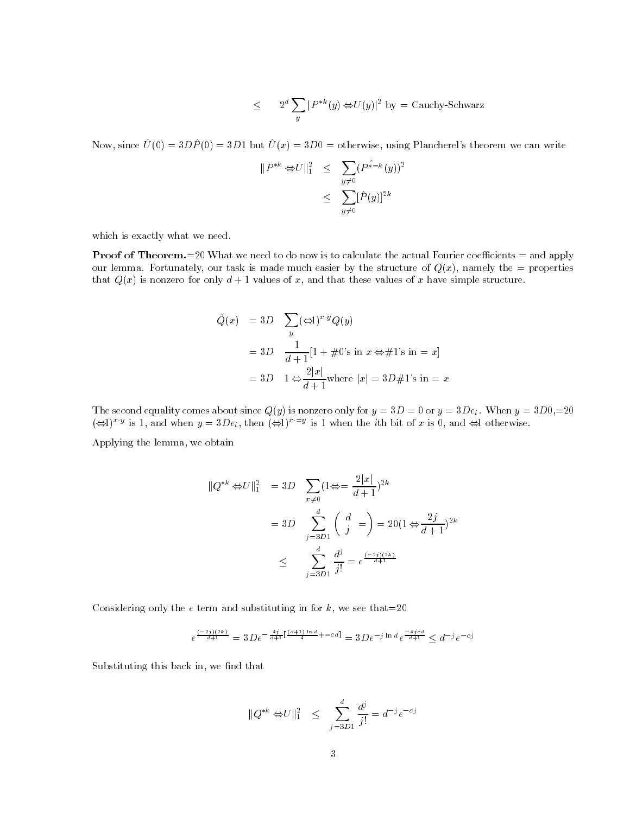$$
\leq 2^d \sum_y |P^{*k}(y) \Leftrightarrow U(y)|^2 \text{ by } = \text{Cauchy-Schwarz}
$$

Now, since  $\hat{U} (0) = 3D\hat{P} (0) = 3D1$  but  $\hat{U} (x) = 3D0 =$  otherwise, using Plancherel's theorem we can write

$$
||P^{*k} \Leftrightarrow U||_1^2 \le \sum_{y \neq 0} (P^{*\equiv k}(y))^2
$$
  

$$
\le \sum_{y \neq 0} [\hat{P}(y)]^{2k}
$$

which is exactly what we need.

**Proof of Theorem.**=20 What we need to do now is to calculate the actual Fourier coefficients = and apply our lemma. Fortunately, our task is made much easier by the structure of  $Q(x)$ , namely the = properties that  $Q(x)$  is nonzero for only  $d+1$  values of x, and that these values of x have simple structure.

$$
\hat{Q}(x) = 3D \sum_{y} (\Leftrightarrow 1)^{x \cdot y} Q(y)
$$

$$
= 3D \frac{1}{d+1} [1 + \#0's \text{ in } x \Leftrightarrow \#1's \text{ in } = x]
$$

$$
= 3D \quad 1 \Leftrightarrow \frac{2|x|}{d+1} \text{where } |x| = 3D \#1's \text{ in } = x
$$

The second equality comes about since  $Q(y)$  is nonzero only for  $y = 3D = 0$  or  $y = 3De_i$ . When  $y = 3D0, =20$  $(\Leftrightarrow)$ )<sup>x y</sup> is 1, and when  $y = 3De_i$ , then  $(\Leftrightarrow)$ <sup>x-y</sup> is 1 when the *i*th bit of x is 0, and  $\Leftrightarrow$  otherwise.

Applying the lemma, we obtain

$$
||Q^{*k} \Leftrightarrow U||_1^2 = 3D \sum_{x \neq 0} (1 \Leftrightarrow = \frac{2|x|}{d+1})^{2k}
$$
  
= 3D 
$$
\sum_{j=3D}^{d} \binom{d}{j} = 20(1 \Leftrightarrow \frac{2j}{d+1})^{2k}
$$
  

$$
\leq \sum_{j=3D}^{d} \frac{d^j}{j!} = e^{\frac{(-2j)(2k)}{d+1}}
$$

Considering only the  $e$  term and substituting in for  $k$ , we see that=20

$$
e^{\frac{(-2j)(2k)}{d+1}} = 3De^{-\frac{4j}{d+1}[\frac{(d+1)\ln d}{4} + \frac{c}{d}]} = 3De^{-j\ln d}e^{\frac{-4jcd}{d+1}} \leq d^{-j}e^{-cj}
$$

Substituting this back in, we find that

$$
||Q^{*k} \Leftrightarrow U||_1^2 \le \sum_{j=3D}^d \frac{d^j}{j!} = d^{-j}e^{-cj}
$$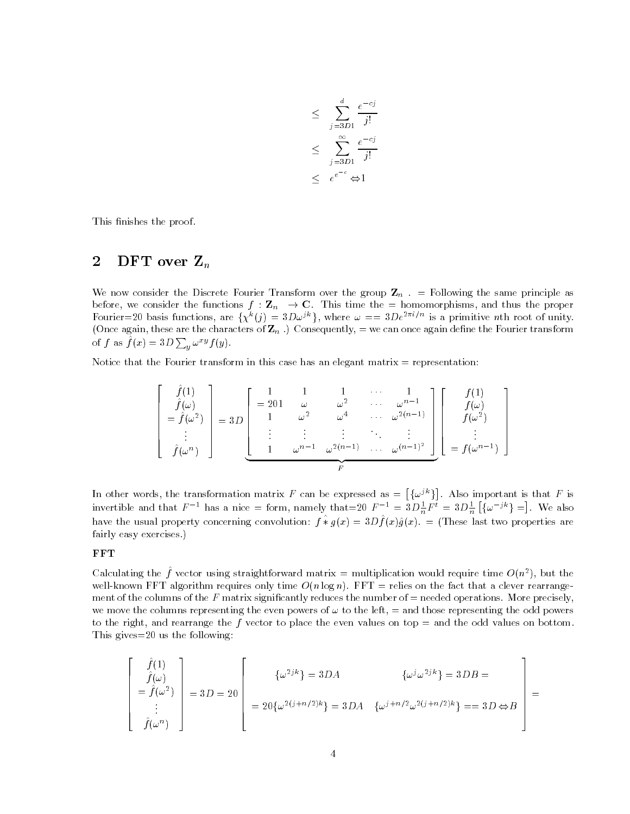$$
\leq \sum_{j=3D1}^{d} \frac{e^{-cj}}{j!}
$$
  

$$
\leq \sum_{j=3D1}^{\infty} \frac{e^{-cj}}{j!}
$$
  

$$
\leq e^{e^{-c}} \Leftrightarrow 1
$$

This finishes the proof.

# 2 DFT over  $\mathbf{Z}_n$

We now consider the Discrete Fourier Transform over the group  $\mathbf{Z}_n$ . = Following the same principle as before, we consider the functions  $f: \mathbf{Z}_n \to \mathbf{C}$ . This time the  $=$  homomorphisms, and thus the proper Fourier=20 basis functions, are  $\{\chi^k(j)=3D\omega^{jk}\}\$ , where  $\omega == 3De^{2\pi i/n}$  is a primitive nth root of unity. (Once again, these are the characters of  $\mathbf{Z}_n$  .) Consequently,  $=$  we can once again define the Fourier transform of f as  $f(x)=3D\sum_{y}\omega^{xy} f(y)$ .

Notice that the Fourier transform in this case has an elegant matrix  $=$  representation:

$$
\begin{bmatrix}\n\hat{f}(1) \\
\hat{f}(\omega) \\
= \hat{f}(\omega^2) \\
\vdots \\
\hat{f}(\omega^n)\n\end{bmatrix} = 3D\n\begin{bmatrix}\n1 & 1 & 1 & \cdots & 1 \\
201 & \omega & \omega^2 & \cdots & \omega^{n-1} \\
1 & \omega^2 & \omega^4 & \cdots & \omega^{2(n-1)} \\
\vdots & \vdots & \vdots & \ddots & \vdots \\
1 & \omega^{n-1} & \omega^{2(n-1)} & \cdots & \omega^{(n-1)^2}\n\end{bmatrix}\n\begin{bmatrix}\nf(1) \\
f(\omega) \\
f(\omega^2) \\
\vdots \\
\vdots \\
f(\omega^{n-1})\n\end{bmatrix}
$$

In other words, the transformation matrix F can be expressed as  $= [\{\omega^{jk}\}]$ . A . Also important is that  $\mathbb{F}_p$  is that  $\mathbb{F}_p$  is that  $\mathbb{F}_p$  is that  $\mathbb{F}_p$  is that  $\mathbb{F}_p$  is that  $\mathbb{F}_p$  is that  $\mathbb{F}_p$  is that  $\mathbb{F}_p$  is that  $\mathbb{F}_p$  is that  $\mathbb{F}_p$  is that  $\mathbb{F}_p$  is tha invertible and that  $F^{-1}$  has a nice = form, namely that=20  $F^{-1} = 3D\frac{1}{n}F^t = 3D\frac{1}{n}\left[\{\omega^{-jk}\}\right] =$ . We have the usual property concerning convolution:  $f * q(x) = 3Df(x)q(x)$ .  $\equiv$  (These last two properties are fairly easy exercises.)

## **FFT**

Calculating the  $f$  vector using straightforward matrix  $=$  multiplication would require time  $O(n^2)$ , but the well-known FFT algorithm requires only time  $O(n \log n)$ . FFT = relies on the fact that a clever rearrangement of the columns of the F matrix significantly reduces the number of  $=$  needed operations. More precisely, we move the columns representing the even powers of  $\omega$  to the left,  $=$  and those representing the odd powers to the right, and rearrange the  $f$  vector to place the even values on top = and the odd values on bottom. This gives=20 us the following:

$$
\begin{bmatrix}\n\hat{f}(1) \\
\hat{f}(\omega) \\
= \hat{f}(\omega^2) \\
\vdots \\
\hat{f}(\omega^n)\n\end{bmatrix} = 3D = 20 \begin{bmatrix}\n\{\omega^{2jk}\} = 3DA & \{\omega^j \omega^{2jk}\} = 3DB = \\
= 20 \{\omega^{2(j+n/2)k}\} = 3DA & \{\omega^{j+n/2} \omega^{2(j+n/2)k}\} = 3D \Leftrightarrow B\n\end{bmatrix} =
$$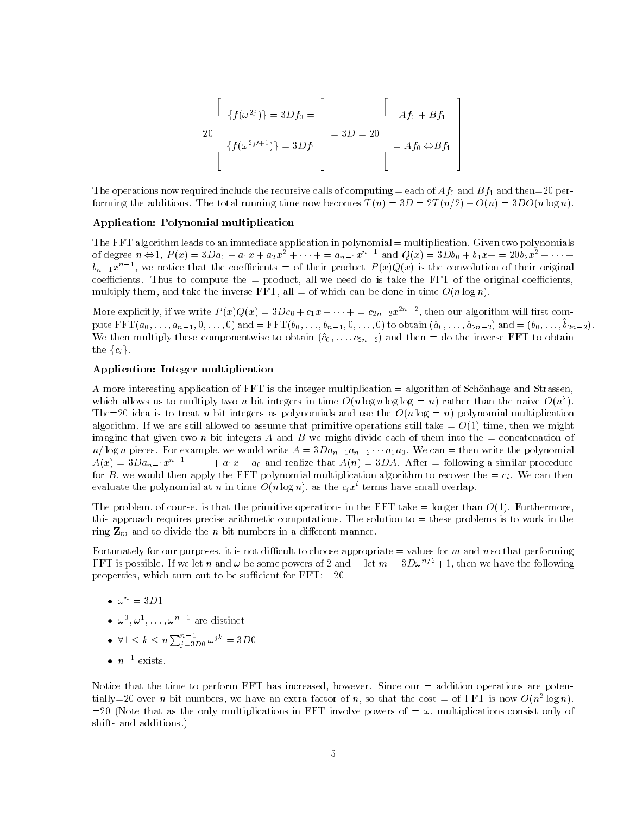$$
20\begin{bmatrix}\n\{f(\omega^{2j})\} = 3Df_0 = \\
\{f(\omega^{2j+1})\} = 3Df_1\n\end{bmatrix} = 3D = 20\n\begin{bmatrix}\nAf_0 + Bf_1 \\
= Af_0 \Leftrightarrow Bf_1 \\
= Af_0 \Leftrightarrow Bf_1\n\end{bmatrix}
$$

The operations now required include the recursive calls of computing = each of  $Af_0$  and  $Bf_1$  and then=20 performing the additions. The total running time now becomes  $T(n)=3D = 2T (n/2) + O(n)=3DO(n \log n)$ .

#### Application: Polynomial multiplication

The FFT algorithm leads to an immediate application in polynomial = multiplication. Given two polynomials of degree  $n \Leftrightarrow 1$ ,  $P(x)=3Da_0 + a_1x + a_2x^2 + \cdots = a_{n-1}x^{n-1}$  and  $Q(x)=3Db_0 + b_1x + 20b_2x^2 + \cdots$  $\theta_{n-1}x^{n-1}$ , we notice that the coefficients  $=$  of their product  $P\left( x\right) Q\left( x\right)$  is the convolution of their original coefficients. Thus to compute the  $=$  product, all we need do is take the FFT of the original coefficients, multiply them, and take the inverse FFT, all = of which can be done in time  $O(n \log n)$ .

More explicitly, if we write  $P(x)Q(x) = 3Dc_0 + c_1x + \cdots + c_{2n-2}x^{-n-2}$ , then our algorithm will first compute FF  $\mathbf{1}(a_0, \ldots, a_{n-1}, 0, \ldots, 0)$  and  $\mathbf{1} \mathbf{r} = \mathbf{1}(a_0, \ldots, a_{n-1}, 0, \ldots, 0)$  to obtain  $(a_0, \ldots, a_{2n-2})$  and  $\mathbf{1}(a_0, \ldots, a_{2n-2})$ We then multiply these componentwise to obtain  $(\hat{c}_0, \ldots, \hat{c}_{2n-2})$  and then = do the inverse FFT to obtain the  $\{c_i\}$ .

## Application: Integer multiplication

A more interesting application of FFT is the integer multiplication = algorithm of Schonhage and Strassen, which allows us to multiply two *n*-bit integers in time  $O(n \log n \log \log \equiv n)$  rather than the naive  $O(n^2)$ . The=20 idea is to treat *n*-bit integers as polynomials and use the  $O(n \log = n)$  polynomial multiplication algorithm. If we are still allowed to assume that primitive operations still take  $= O(1)$  time, then we might imagine that given two *n*-bit integers A and B we might divide each of them into the  $=$  concatenation of  $n/\log n$  pieces. For example, we would write  $A = 3Da_{n-1}a_{n-2} \cdots a_1a_0$ . We can = then write the polynomial  $A(x)=3Da_{n-1}x^{n-1} + \cdots + a_1x + a_0$  and realize that  $A(n)=3DA$ . After = following a similar procedure for B, we would then apply the FFT polynomial multiplication algorithm to recover the  $=c_i$ . We can then evaluate the polynomial at n in time  $O(n \log n)$ , as the  $c_i x^i$  terms have small overlap.

The problem, of course, is that the primitive operations in the FFT take  $=$  longer than  $O(1)$ . Furthermore, this approach requires precise arithmetic computations. The solution to  $=$  these problems is to work in the ring  $\mathbf{Z}_m$  and to divide the *n*-bit numbers in a different manner.

Fortunately for our purposes, it is not difficult to choose appropriate  $=$  values for m and n so that performing FFT is possible. If we let n and  $\omega$  be some powers of 2 and  $=$  let  $m = 3D\omega^{n/2} + 1$ , then we have the following properties, which turn out to be sufficient for  $FFT: =20$ 

- $\bullet$   $\omega$ '' = 3D1
- $\bullet$   $\omega$  ,  $\omega$  ,  $\omega$  ,  $\omega$  ,  $\sim$  are distinct
- $\bullet \ \ \forall 1 \leq k \leq n \sum_{i=3D}^{n-1} p_0 \, \omega^{jk} = 3D0$
- $\bullet$  n  $^+$  exists.

Notice that the time to perform  $FFT$  has increased, however. Since our  $=$  addition operations are potentially  $=$  20 over n-bit numbers, we have an extra factor of n, so that the cost  $=$  of FFT is now  $O(n^2 \log n)$ .  $=20$  (Note that as the only multiplications in FFT involve powers of  $=\omega$ , multiplications consist only of shifts and additions.)